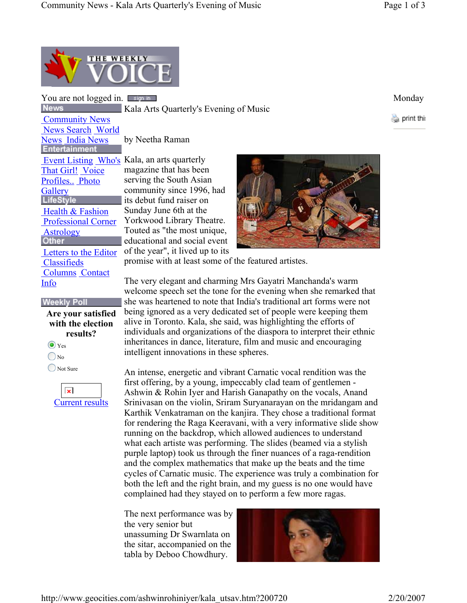

You are not logged in. **Example 1998** Secondary Monday **News** 

 Community News News Search World **News India News**<br>Entertainment Event Listing Who's Kala, an arts quarterly That Girl! Voice Profiles.. Photo **Gallery LifeStyle** Health & Fashion Professional Corner **Astrology**<br>Other Letters to the Editor **Classifieds** Columns Contact

## **Weekly Poll**

Info

**Are your satisfied with the election results?**  $\odot$  Yes

 $\bigcirc$  No

Not Sure

 $\pmb{\times}$ Current results Kala Arts Quarterly's Evening of Music

by Neetha Raman

magazine that has been serving the South Asian community since 1996, had its debut fund raiser on Sunday June 6th at the Yorkwood Library Theatre. Touted as "the most unique, educational and social event of the year", it lived up to its



promise with at least some of the featured artistes.

The very elegant and charming Mrs Gayatri Manchanda's warm welcome speech set the tone for the evening when she remarked that she was heartened to note that India's traditional art forms were not being ignored as a very dedicated set of people were keeping them alive in Toronto. Kala, she said, was highlighting the efforts of individuals and organizations of the diaspora to interpret their ethnic inheritances in dance, literature, film and music and encouraging intelligent innovations in these spheres.

An intense, energetic and vibrant Carnatic vocal rendition was the first offering, by a young, impeccably clad team of gentlemen - Ashwin & Rohin Iyer and Harish Ganapathy on the vocals, Anand Srinivasan on the violin, Sriram Suryanarayan on the mridangam and Karthik Venkatraman on the kanjira. They chose a traditional format for rendering the Raga Keeravani, with a very informative slide show running on the backdrop, which allowed audiences to understand what each artiste was performing. The slides (beamed via a stylish purple laptop) took us through the finer nuances of a raga-rendition and the complex mathematics that make up the beats and the time cycles of Carnatic music. The experience was truly a combination for both the left and the right brain, and my guess is no one would have complained had they stayed on to perform a few more ragas.

The next performance was by the very senior but unassuming Dr Swarnlata on the sitar, accompanied on the tabla by Deboo Chowdhury.



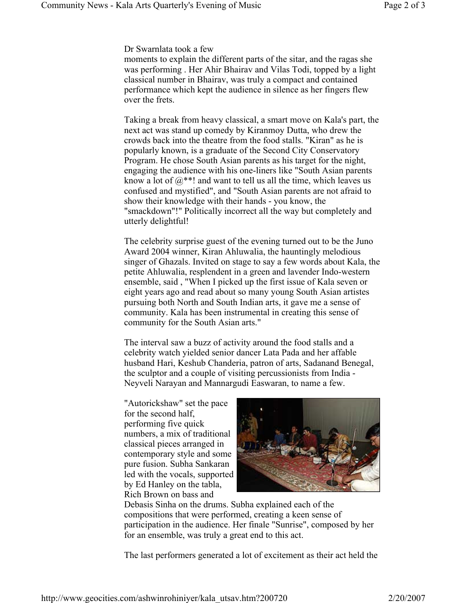Dr Swarnlata took a few

moments to explain the different parts of the sitar, and the ragas she was performing . Her Ahir Bhairav and Vilas Todi, topped by a light classical number in Bhairav, was truly a compact and contained performance which kept the audience in silence as her fingers flew over the frets.

Taking a break from heavy classical, a smart move on Kala's part, the next act was stand up comedy by Kiranmoy Dutta, who drew the crowds back into the theatre from the food stalls. "Kiran" as he is popularly known, is a graduate of the Second City Conservatory Program. He chose South Asian parents as his target for the night, engaging the audience with his one-liners like "South Asian parents know a lot of  $(a^{**}!$  and want to tell us all the time, which leaves us confused and mystified", and "South Asian parents are not afraid to show their knowledge with their hands - you know, the "smackdown"!" Politically incorrect all the way but completely and utterly delightful!

The celebrity surprise guest of the evening turned out to be the Juno Award 2004 winner, Kiran Ahluwalia, the hauntingly melodious singer of Ghazals. Invited on stage to say a few words about Kala, the petite Ahluwalia, resplendent in a green and lavender Indo-western ensemble, said , "When I picked up the first issue of Kala seven or eight years ago and read about so many young South Asian artistes pursuing both North and South Indian arts, it gave me a sense of community. Kala has been instrumental in creating this sense of community for the South Asian arts."

The interval saw a buzz of activity around the food stalls and a celebrity watch yielded senior dancer Lata Pada and her affable husband Hari, Keshub Chanderia, patron of arts, Sadanand Benegal, the sculptor and a couple of visiting percussionists from India - Neyveli Narayan and Mannargudi Easwaran, to name a few.

"Autorickshaw" set the pace for the second half, performing five quick numbers, a mix of traditional classical pieces arranged in contemporary style and some pure fusion. Subha Sankaran led with the vocals, supported by Ed Hanley on the tabla, Rich Brown on bass and



Debasis Sinha on the drums. Subha explained each of the compositions that were performed, creating a keen sense of participation in the audience. Her finale "Sunrise", composed by her for an ensemble, was truly a great end to this act.

The last performers generated a lot of excitement as their act held the